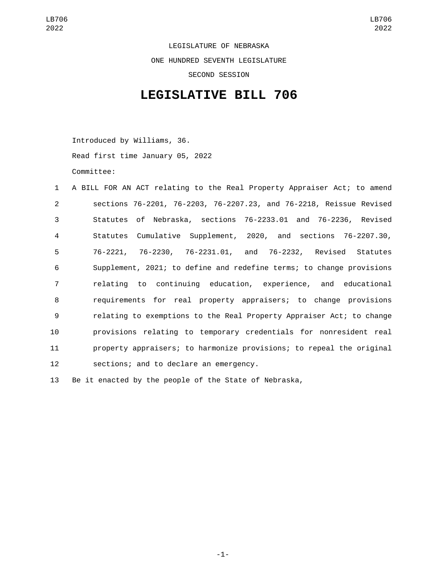LEGISLATURE OF NEBRASKA ONE HUNDRED SEVENTH LEGISLATURE SECOND SESSION

## **LEGISLATIVE BILL 706**

Introduced by Williams, 36. Read first time January 05, 2022 Committee:

| $\mathbf{1}$   | A BILL FOR AN ACT relating to the Real Property Appraiser Act; to amend |
|----------------|-------------------------------------------------------------------------|
| 2              | sections 76-2201, 76-2203, 76-2207.23, and 76-2218, Reissue Revised     |
| 3              | Statutes of Nebraska, sections 76-2233.01 and 76-2236, Revised          |
| 4              | Statutes Cumulative Supplement, 2020, and sections 76-2207.30,          |
| 5              | 76-2221, 76-2230, 76-2231.01, and 76-2232, Revised Statutes             |
| 6              | Supplement, 2021; to define and redefine terms; to change provisions    |
| $\overline{7}$ | relating to continuing education, experience, and educational           |
| 8              | requirements for real property appraisers; to change provisions         |
| 9              | relating to exemptions to the Real Property Appraiser Act; to change    |
| 10             | provisions relating to temporary credentials for nonresident real       |
| 11             | property appraisers; to harmonize provisions; to repeal the original    |
| 12             | sections; and to declare an emergency.                                  |
|                |                                                                         |

13 Be it enacted by the people of the State of Nebraska,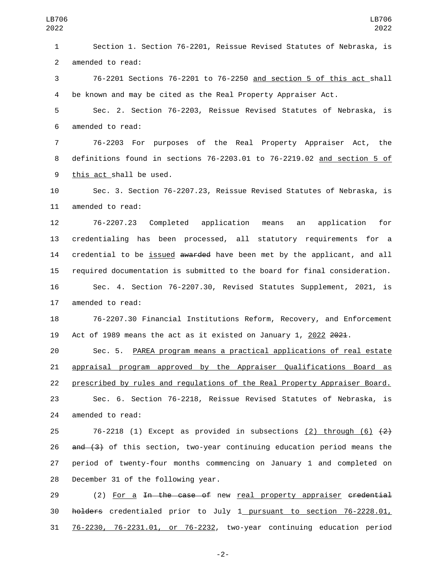Section 1. Section 76-2201, Reissue Revised Statutes of Nebraska, is 2 amended to read: 76-2201 Sections 76-2201 to 76-2250 and section 5 of this act shall be known and may be cited as the Real Property Appraiser Act. Sec. 2. Section 76-2203, Reissue Revised Statutes of Nebraska, is 6 amended to read: 76-2203 For purposes of the Real Property Appraiser Act, the definitions found in sections 76-2203.01 to 76-2219.02 and section 5 of 9 this act shall be used. Sec. 3. Section 76-2207.23, Reissue Revised Statutes of Nebraska, is 11 amended to read: 76-2207.23 Completed application means an application for credentialing has been processed, all statutory requirements for a 14 credential to be issued awarded have been met by the applicant, and all required documentation is submitted to the board for final consideration. Sec. 4. Section 76-2207.30, Revised Statutes Supplement, 2021, is 17 amended to read: 76-2207.30 Financial Institutions Reform, Recovery, and Enforcement 19 Act of 1989 means the act as it existed on January 1, 2022 2021. Sec. 5. PAREA program means a practical applications of real estate appraisal program approved by the Appraiser Qualifications Board as prescribed by rules and regulations of the Real Property Appraiser Board. Sec. 6. Section 76-2218, Reissue Revised Statutes of Nebraska, is 24 amended to read:  $76-2218$  (1) Except as provided in subsections (2) through (6)  $\{2\}$  $\alpha$  and (3) of this section, two-year continuing education period means the period of twenty-four months commencing on January 1 and completed on 28 December 31 of the following year.

29 (2) For a In the case of new real property appraiser credential 30 holders credentialed prior to July 1 pursuant to section 76-2228.01, 31 76-2230, 76-2231.01, or 76-2232, two-year continuing education period

-2-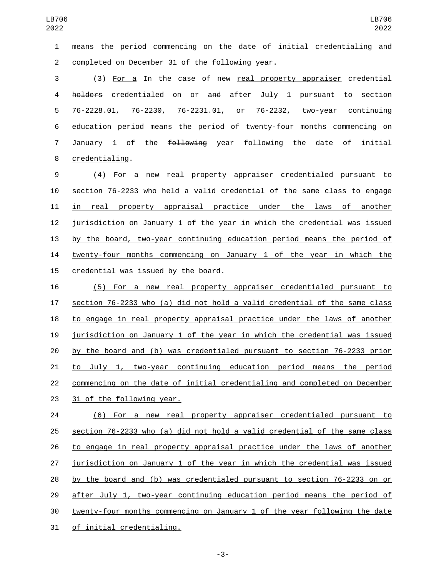means the period commencing on the date of initial credentialing and 2 completed on December 31 of the following year.

3 (3) For a <del>In the case of</del> new real property appraiser <del>credential</del> 4 holders credentialed on or and after July 1 pursuant to section 76-2228.01, 76-2230, 76-2231.01, or 76-2232, two-year continuing education period means the period of twenty-four months commencing on 7 January 1 of the following year following the date of initial 8 credentialing.

 (4) For a new real property appraiser credentialed pursuant to section 76-2233 who held a valid credential of the same class to engage in real property appraisal practice under the laws of another jurisdiction on January 1 of the year in which the credential was issued by the board, two-year continuing education period means the period of twenty-four months commencing on January 1 of the year in which the 15 credential was issued by the board.

 (5) For a new real property appraiser credentialed pursuant to section 76-2233 who (a) did not hold a valid credential of the same class to engage in real property appraisal practice under the laws of another jurisdiction on January 1 of the year in which the credential was issued by the board and (b) was credentialed pursuant to section 76-2233 prior to July 1, two-year continuing education period means the period commencing on the date of initial credentialing and completed on December 23 31 of the following year.

 (6) For a new real property appraiser credentialed pursuant to section 76-2233 who (a) did not hold a valid credential of the same class to engage in real property appraisal practice under the laws of another jurisdiction on January 1 of the year in which the credential was issued by the board and (b) was credentialed pursuant to section 76-2233 on or after July 1, two-year continuing education period means the period of twenty-four months commencing on January 1 of the year following the date 31 of initial credentialing.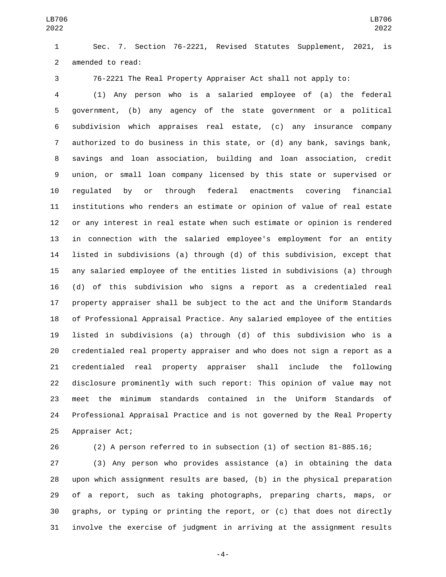Sec. 7. Section 76-2221, Revised Statutes Supplement, 2021, is 2 amended to read:

76-2221 The Real Property Appraiser Act shall not apply to:

 (1) Any person who is a salaried employee of (a) the federal government, (b) any agency of the state government or a political subdivision which appraises real estate, (c) any insurance company authorized to do business in this state, or (d) any bank, savings bank, savings and loan association, building and loan association, credit union, or small loan company licensed by this state or supervised or regulated by or through federal enactments covering financial institutions who renders an estimate or opinion of value of real estate or any interest in real estate when such estimate or opinion is rendered in connection with the salaried employee's employment for an entity listed in subdivisions (a) through (d) of this subdivision, except that any salaried employee of the entities listed in subdivisions (a) through (d) of this subdivision who signs a report as a credentialed real property appraiser shall be subject to the act and the Uniform Standards of Professional Appraisal Practice. Any salaried employee of the entities listed in subdivisions (a) through (d) of this subdivision who is a credentialed real property appraiser and who does not sign a report as a credentialed real property appraiser shall include the following disclosure prominently with such report: This opinion of value may not meet the minimum standards contained in the Uniform Standards of Professional Appraisal Practice and is not governed by the Real Property 25 Appraiser Act;

(2) A person referred to in subsection (1) of section 81-885.16;

 (3) Any person who provides assistance (a) in obtaining the data upon which assignment results are based, (b) in the physical preparation of a report, such as taking photographs, preparing charts, maps, or graphs, or typing or printing the report, or (c) that does not directly involve the exercise of judgment in arriving at the assignment results

-4-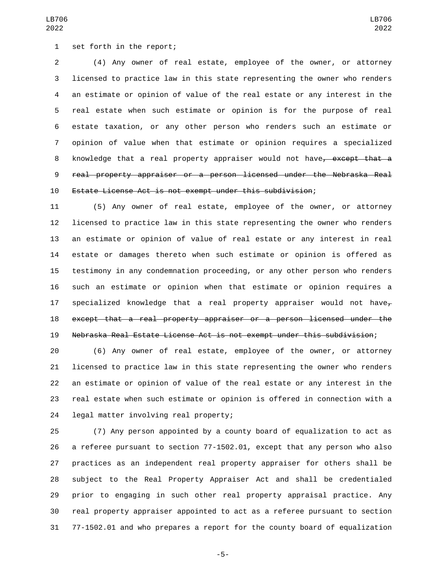(4) Any owner of real estate, employee of the owner, or attorney licensed to practice law in this state representing the owner who renders an estimate or opinion of value of the real estate or any interest in the real estate when such estimate or opinion is for the purpose of real estate taxation, or any other person who renders such an estimate or opinion of value when that estimate or opinion requires a specialized 8 knowledge that a real property appraiser would not have<del>, except that a</del> real property appraiser or a person licensed under the Nebraska Real Estate License Act is not exempt under this subdivision;

 (5) Any owner of real estate, employee of the owner, or attorney licensed to practice law in this state representing the owner who renders an estimate or opinion of value of real estate or any interest in real estate or damages thereto when such estimate or opinion is offered as testimony in any condemnation proceeding, or any other person who renders such an estimate or opinion when that estimate or opinion requires a 17 specialized knowledge that a real property appraiser would not have except that a real property appraiser or a person licensed under the Nebraska Real Estate License Act is not exempt under this subdivision;

 (6) Any owner of real estate, employee of the owner, or attorney licensed to practice law in this state representing the owner who renders an estimate or opinion of value of the real estate or any interest in the real estate when such estimate or opinion is offered in connection with a 24 legal matter involving real property;

 (7) Any person appointed by a county board of equalization to act as a referee pursuant to section 77-1502.01, except that any person who also practices as an independent real property appraiser for others shall be subject to the Real Property Appraiser Act and shall be credentialed prior to engaging in such other real property appraisal practice. Any real property appraiser appointed to act as a referee pursuant to section 77-1502.01 and who prepares a report for the county board of equalization

-5-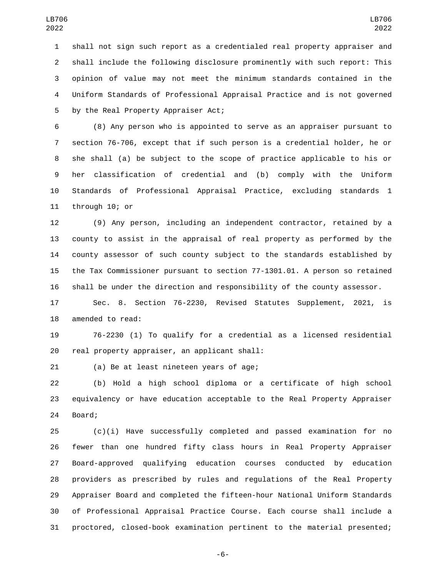shall not sign such report as a credentialed real property appraiser and shall include the following disclosure prominently with such report: This opinion of value may not meet the minimum standards contained in the Uniform Standards of Professional Appraisal Practice and is not governed 5 by the Real Property Appraiser Act;

 (8) Any person who is appointed to serve as an appraiser pursuant to section 76-706, except that if such person is a credential holder, he or she shall (a) be subject to the scope of practice applicable to his or her classification of credential and (b) comply with the Uniform Standards of Professional Appraisal Practice, excluding standards 1 11 through 10; or

 (9) Any person, including an independent contractor, retained by a county to assist in the appraisal of real property as performed by the county assessor of such county subject to the standards established by the Tax Commissioner pursuant to section 77-1301.01. A person so retained shall be under the direction and responsibility of the county assessor.

 Sec. 8. Section 76-2230, Revised Statutes Supplement, 2021, is 18 amended to read:

 76-2230 (1) To qualify for a credential as a licensed residential 20 real property appraiser, an applicant shall:

21 (a) Be at least nineteen years of age;

 (b) Hold a high school diploma or a certificate of high school equivalency or have education acceptable to the Real Property Appraiser 24 Board;

 (c)(i) Have successfully completed and passed examination for no fewer than one hundred fifty class hours in Real Property Appraiser Board-approved qualifying education courses conducted by education providers as prescribed by rules and regulations of the Real Property Appraiser Board and completed the fifteen-hour National Uniform Standards of Professional Appraisal Practice Course. Each course shall include a proctored, closed-book examination pertinent to the material presented;

-6-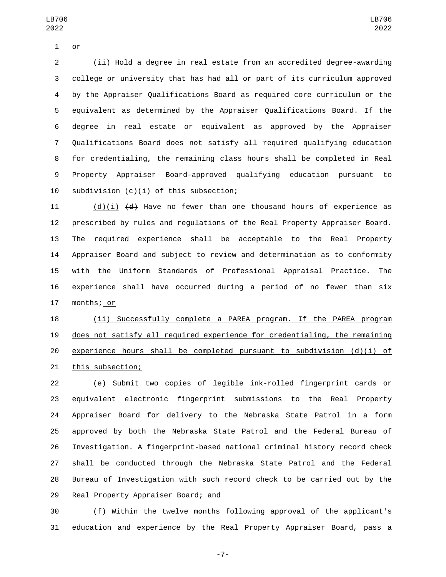1 or

 (ii) Hold a degree in real estate from an accredited degree-awarding college or university that has had all or part of its curriculum approved by the Appraiser Qualifications Board as required core curriculum or the equivalent as determined by the Appraiser Qualifications Board. If the degree in real estate or equivalent as approved by the Appraiser Qualifications Board does not satisfy all required qualifying education for credentialing, the remaining class hours shall be completed in Real Property Appraiser Board-approved qualifying education pursuant to 10 subdivision  $(c)(i)$  of this subsection;

 $(d)(i)$   $(d)$  Have no fewer than one thousand hours of experience as prescribed by rules and regulations of the Real Property Appraiser Board. The required experience shall be acceptable to the Real Property Appraiser Board and subject to review and determination as to conformity with the Uniform Standards of Professional Appraisal Practice. The experience shall have occurred during a period of no fewer than six 17 months; or

 (ii) Successfully complete a PAREA program. If the PAREA program does not satisfy all required experience for credentialing, the remaining experience hours shall be completed pursuant to subdivision (d)(i) of 21 this subsection;

 (e) Submit two copies of legible ink-rolled fingerprint cards or equivalent electronic fingerprint submissions to the Real Property Appraiser Board for delivery to the Nebraska State Patrol in a form approved by both the Nebraska State Patrol and the Federal Bureau of Investigation. A fingerprint-based national criminal history record check shall be conducted through the Nebraska State Patrol and the Federal Bureau of Investigation with such record check to be carried out by the 29 Real Property Appraiser Board; and

 (f) Within the twelve months following approval of the applicant's education and experience by the Real Property Appraiser Board, pass a

-7-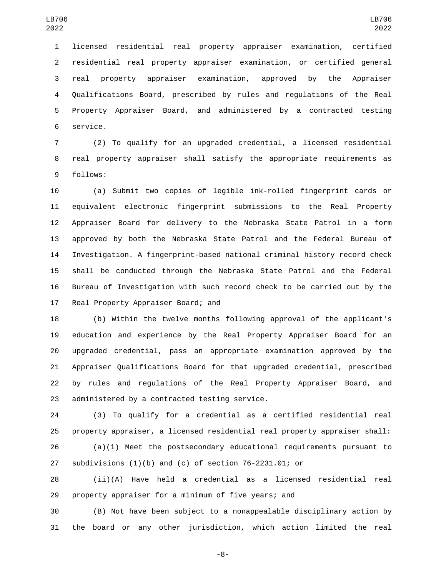licensed residential real property appraiser examination, certified residential real property appraiser examination, or certified general real property appraiser examination, approved by the Appraiser Qualifications Board, prescribed by rules and regulations of the Real Property Appraiser Board, and administered by a contracted testing 6 service.

 (2) To qualify for an upgraded credential, a licensed residential real property appraiser shall satisfy the appropriate requirements as 9 follows:

 (a) Submit two copies of legible ink-rolled fingerprint cards or equivalent electronic fingerprint submissions to the Real Property Appraiser Board for delivery to the Nebraska State Patrol in a form approved by both the Nebraska State Patrol and the Federal Bureau of Investigation. A fingerprint-based national criminal history record check shall be conducted through the Nebraska State Patrol and the Federal Bureau of Investigation with such record check to be carried out by the 17 Real Property Appraiser Board; and

 (b) Within the twelve months following approval of the applicant's education and experience by the Real Property Appraiser Board for an upgraded credential, pass an appropriate examination approved by the Appraiser Qualifications Board for that upgraded credential, prescribed by rules and regulations of the Real Property Appraiser Board, and 23 administered by a contracted testing service.

 (3) To qualify for a credential as a certified residential real property appraiser, a licensed residential real property appraiser shall:

 (a)(i) Meet the postsecondary educational requirements pursuant to subdivisions (1)(b) and (c) of section 76-2231.01; or

 (ii)(A) Have held a credential as a licensed residential real property appraiser for a minimum of five years; and

 (B) Not have been subject to a nonappealable disciplinary action by the board or any other jurisdiction, which action limited the real

-8-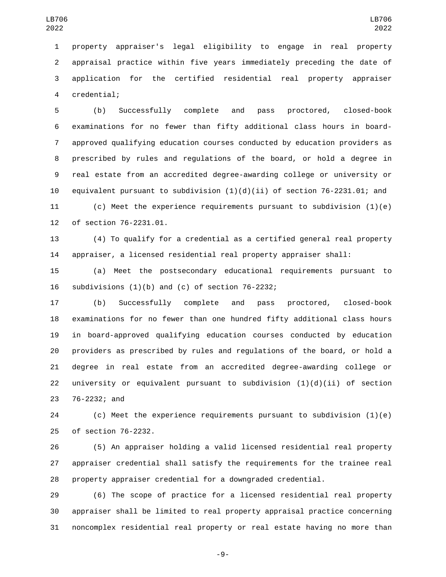property appraiser's legal eligibility to engage in real property appraisal practice within five years immediately preceding the date of application for the certified residential real property appraiser 4 credential;

 (b) Successfully complete and pass proctored, closed-book examinations for no fewer than fifty additional class hours in board- approved qualifying education courses conducted by education providers as prescribed by rules and regulations of the board, or hold a degree in real estate from an accredited degree-awarding college or university or 10 equivalent pursuant to subdivision  $(1)(d)(ii)$  of section 76-2231.01; and (c) Meet the experience requirements pursuant to subdivision (1)(e) 12 of section 76-2231.01.

 (4) To qualify for a credential as a certified general real property appraiser, a licensed residential real property appraiser shall:

 (a) Meet the postsecondary educational requirements pursuant to 16 subdivisions  $(1)(b)$  and  $(c)$  of section 76-2232;

 (b) Successfully complete and pass proctored, closed-book examinations for no fewer than one hundred fifty additional class hours in board-approved qualifying education courses conducted by education providers as prescribed by rules and regulations of the board, or hold a degree in real estate from an accredited degree-awarding college or 22 university or equivalent pursuant to subdivision  $(1)(d)(ii)$  of section 23 76-2232; and

 (c) Meet the experience requirements pursuant to subdivision (1)(e) 25 of section 76-2232.

 (5) An appraiser holding a valid licensed residential real property appraiser credential shall satisfy the requirements for the trainee real property appraiser credential for a downgraded credential.

 (6) The scope of practice for a licensed residential real property appraiser shall be limited to real property appraisal practice concerning noncomplex residential real property or real estate having no more than

-9-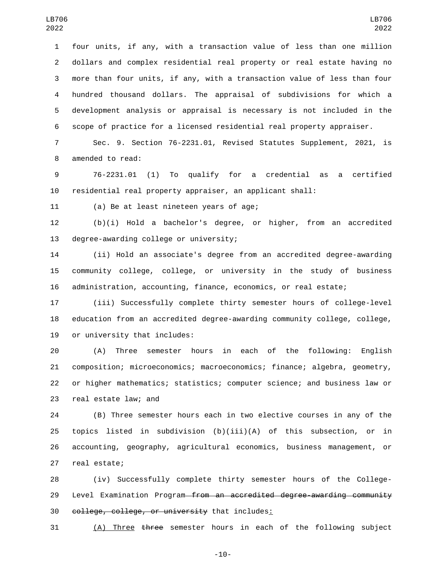four units, if any, with a transaction value of less than one million dollars and complex residential real property or real estate having no more than four units, if any, with a transaction value of less than four hundred thousand dollars. The appraisal of subdivisions for which a development analysis or appraisal is necessary is not included in the scope of practice for a licensed residential real property appraiser.

 Sec. 9. Section 76-2231.01, Revised Statutes Supplement, 2021, is 8 amended to read:

 76-2231.01 (1) To qualify for a credential as a certified residential real property appraiser, an applicant shall:

11 (a) Be at least nineteen years of age;

 (b)(i) Hold a bachelor's degree, or higher, from an accredited 13 degree-awarding college or university;

 (ii) Hold an associate's degree from an accredited degree-awarding community college, college, or university in the study of business administration, accounting, finance, economics, or real estate;

 (iii) Successfully complete thirty semester hours of college-level education from an accredited degree-awarding community college, college, 19 or university that includes:

 (A) Three semester hours in each of the following: English composition; microeconomics; macroeconomics; finance; algebra, geometry, or higher mathematics; statistics; computer science; and business law or 23 real estate law; and

 (B) Three semester hours each in two elective courses in any of the topics listed in subdivision (b)(iii)(A) of this subsection, or in accounting, geography, agricultural economics, business management, or 27 real estate;

 (iv) Successfully complete thirty semester hours of the College-29 Level Examination Program from an accredited degree-awarding community 30 college, college, or university that includes:

(A) Three three semester hours in each of the following subject

-10-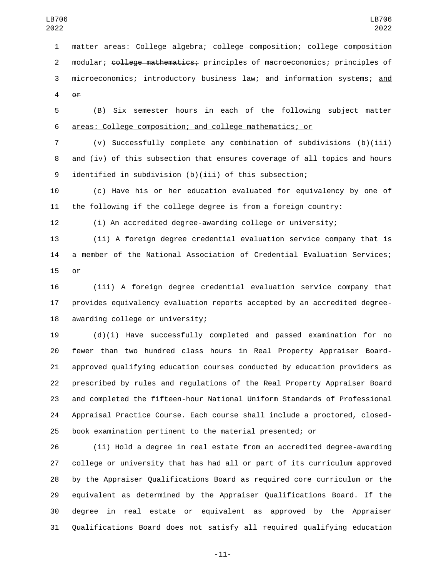matter areas: College algebra; college composition; college composition 2 modular; college mathematics; principles of macroeconomics; principles of microeconomics; introductory business law; and information systems; and or

 (B) Six semester hours in each of the following subject matter areas: College composition; and college mathematics; or

 (v) Successfully complete any combination of subdivisions (b)(iii) and (iv) of this subsection that ensures coverage of all topics and hours identified in subdivision (b)(iii) of this subsection;

 (c) Have his or her education evaluated for equivalency by one of the following if the college degree is from a foreign country:

(i) An accredited degree-awarding college or university;

 (ii) A foreign degree credential evaluation service company that is a member of the National Association of Credential Evaluation Services; 15 or

 (iii) A foreign degree credential evaluation service company that provides equivalency evaluation reports accepted by an accredited degree-18 awarding college or university;

 (d)(i) Have successfully completed and passed examination for no fewer than two hundred class hours in Real Property Appraiser Board- approved qualifying education courses conducted by education providers as prescribed by rules and regulations of the Real Property Appraiser Board and completed the fifteen-hour National Uniform Standards of Professional Appraisal Practice Course. Each course shall include a proctored, closed-book examination pertinent to the material presented; or

 (ii) Hold a degree in real estate from an accredited degree-awarding college or university that has had all or part of its curriculum approved by the Appraiser Qualifications Board as required core curriculum or the equivalent as determined by the Appraiser Qualifications Board. If the degree in real estate or equivalent as approved by the Appraiser Qualifications Board does not satisfy all required qualifying education

-11-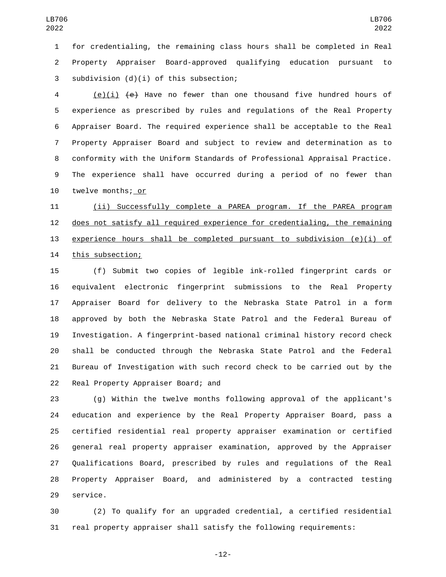for credentialing, the remaining class hours shall be completed in Real Property Appraiser Board-approved qualifying education pursuant to subdivision (d)(i) of this subsection;3

 (e)(i) (e) Have no fewer than one thousand five hundred hours of experience as prescribed by rules and regulations of the Real Property Appraiser Board. The required experience shall be acceptable to the Real Property Appraiser Board and subject to review and determination as to conformity with the Uniform Standards of Professional Appraisal Practice. The experience shall have occurred during a period of no fewer than 10 twelve months; or

 (ii) Successfully complete a PAREA program. If the PAREA program does not satisfy all required experience for credentialing, the remaining 13 experience hours shall be completed pursuant to subdivision (e)(i) of 14 this subsection;

 (f) Submit two copies of legible ink-rolled fingerprint cards or equivalent electronic fingerprint submissions to the Real Property Appraiser Board for delivery to the Nebraska State Patrol in a form approved by both the Nebraska State Patrol and the Federal Bureau of Investigation. A fingerprint-based national criminal history record check shall be conducted through the Nebraska State Patrol and the Federal Bureau of Investigation with such record check to be carried out by the 22 Real Property Appraiser Board; and

 (g) Within the twelve months following approval of the applicant's education and experience by the Real Property Appraiser Board, pass a certified residential real property appraiser examination or certified general real property appraiser examination, approved by the Appraiser Qualifications Board, prescribed by rules and regulations of the Real Property Appraiser Board, and administered by a contracted testing 29 service.

 (2) To qualify for an upgraded credential, a certified residential real property appraiser shall satisfy the following requirements:

-12-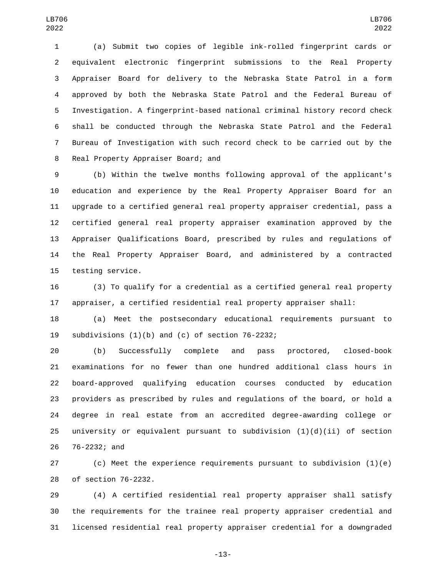(a) Submit two copies of legible ink-rolled fingerprint cards or equivalent electronic fingerprint submissions to the Real Property Appraiser Board for delivery to the Nebraska State Patrol in a form approved by both the Nebraska State Patrol and the Federal Bureau of Investigation. A fingerprint-based national criminal history record check shall be conducted through the Nebraska State Patrol and the Federal Bureau of Investigation with such record check to be carried out by the 8 Real Property Appraiser Board; and

 (b) Within the twelve months following approval of the applicant's education and experience by the Real Property Appraiser Board for an upgrade to a certified general real property appraiser credential, pass a certified general real property appraiser examination approved by the Appraiser Qualifications Board, prescribed by rules and regulations of the Real Property Appraiser Board, and administered by a contracted 15 testing service.

 (3) To qualify for a credential as a certified general real property appraiser, a certified residential real property appraiser shall:

 (a) Meet the postsecondary educational requirements pursuant to 19 subdivisions  $(1)(b)$  and  $(c)$  of section 76-2232;

 (b) Successfully complete and pass proctored, closed-book examinations for no fewer than one hundred additional class hours in board-approved qualifying education courses conducted by education providers as prescribed by rules and regulations of the board, or hold a degree in real estate from an accredited degree-awarding college or 25 university or equivalent pursuant to subdivision  $(1)(d)(ii)$  of section 26 76-2232; and

 (c) Meet the experience requirements pursuant to subdivision (1)(e) 28 of section 76-2232.

 (4) A certified residential real property appraiser shall satisfy the requirements for the trainee real property appraiser credential and licensed residential real property appraiser credential for a downgraded

-13-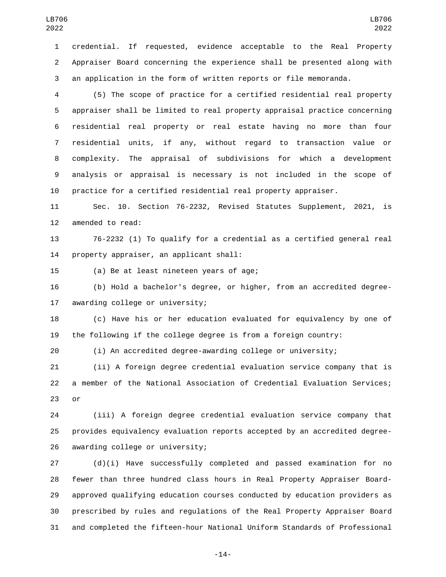credential. If requested, evidence acceptable to the Real Property Appraiser Board concerning the experience shall be presented along with an application in the form of written reports or file memoranda.

 (5) The scope of practice for a certified residential real property appraiser shall be limited to real property appraisal practice concerning residential real property or real estate having no more than four residential units, if any, without regard to transaction value or complexity. The appraisal of subdivisions for which a development analysis or appraisal is necessary is not included in the scope of practice for a certified residential real property appraiser.

 Sec. 10. Section 76-2232, Revised Statutes Supplement, 2021, is 12 amended to read:

 76-2232 (1) To qualify for a credential as a certified general real 14 property appraiser, an applicant shall:

15 (a) Be at least nineteen years of age;

 (b) Hold a bachelor's degree, or higher, from an accredited degree-17 awarding college or university;

 (c) Have his or her education evaluated for equivalency by one of the following if the college degree is from a foreign country:

(i) An accredited degree-awarding college or university;

 (ii) A foreign degree credential evaluation service company that is a member of the National Association of Credential Evaluation Services; or

 (iii) A foreign degree credential evaluation service company that provides equivalency evaluation reports accepted by an accredited degree-26 awarding college or university;

 (d)(i) Have successfully completed and passed examination for no fewer than three hundred class hours in Real Property Appraiser Board- approved qualifying education courses conducted by education providers as prescribed by rules and regulations of the Real Property Appraiser Board and completed the fifteen-hour National Uniform Standards of Professional

-14-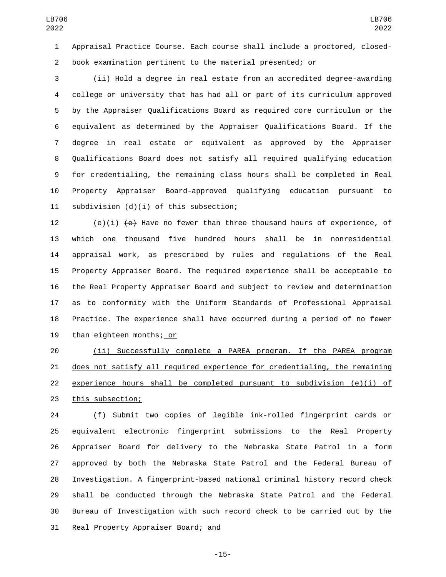Appraisal Practice Course. Each course shall include a proctored, closed-book examination pertinent to the material presented; or

 (ii) Hold a degree in real estate from an accredited degree-awarding college or university that has had all or part of its curriculum approved by the Appraiser Qualifications Board as required core curriculum or the equivalent as determined by the Appraiser Qualifications Board. If the degree in real estate or equivalent as approved by the Appraiser Qualifications Board does not satisfy all required qualifying education for credentialing, the remaining class hours shall be completed in Real Property Appraiser Board-approved qualifying education pursuant to 11 subdivision  $(d)(i)$  of this subsection;

12 (e)(i)  $\left( e \right)$  Have no fewer than three thousand hours of experience, of which one thousand five hundred hours shall be in nonresidential appraisal work, as prescribed by rules and regulations of the Real Property Appraiser Board. The required experience shall be acceptable to the Real Property Appraiser Board and subject to review and determination as to conformity with the Uniform Standards of Professional Appraisal Practice. The experience shall have occurred during a period of no fewer 19 than eighteen months; or

 (ii) Successfully complete a PAREA program. If the PAREA program does not satisfy all required experience for credentialing, the remaining 22 experience hours shall be completed pursuant to subdivision  $(e)(i)$  of 23 this subsection;

 (f) Submit two copies of legible ink-rolled fingerprint cards or equivalent electronic fingerprint submissions to the Real Property Appraiser Board for delivery to the Nebraska State Patrol in a form approved by both the Nebraska State Patrol and the Federal Bureau of Investigation. A fingerprint-based national criminal history record check shall be conducted through the Nebraska State Patrol and the Federal Bureau of Investigation with such record check to be carried out by the 31 Real Property Appraiser Board; and

-15-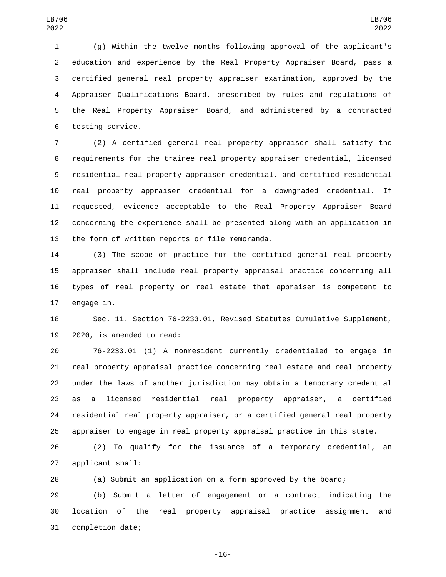(g) Within the twelve months following approval of the applicant's education and experience by the Real Property Appraiser Board, pass a certified general real property appraiser examination, approved by the Appraiser Qualifications Board, prescribed by rules and regulations of the Real Property Appraiser Board, and administered by a contracted 6 testing service.

 (2) A certified general real property appraiser shall satisfy the requirements for the trainee real property appraiser credential, licensed residential real property appraiser credential, and certified residential real property appraiser credential for a downgraded credential. If requested, evidence acceptable to the Real Property Appraiser Board concerning the experience shall be presented along with an application in 13 the form of written reports or file memoranda.

 (3) The scope of practice for the certified general real property appraiser shall include real property appraisal practice concerning all types of real property or real estate that appraiser is competent to 17 engage in.

 Sec. 11. Section 76-2233.01, Revised Statutes Cumulative Supplement, 19 2020, is amended to read:

 76-2233.01 (1) A nonresident currently credentialed to engage in real property appraisal practice concerning real estate and real property under the laws of another jurisdiction may obtain a temporary credential as a licensed residential real property appraiser, a certified residential real property appraiser, or a certified general real property appraiser to engage in real property appraisal practice in this state.

 (2) To qualify for the issuance of a temporary credential, an 27 applicant shall:

(a) Submit an application on a form approved by the board;

 (b) Submit a letter of engagement or a contract indicating the 30 location of the real property appraisal practice assignment—and 31 completion date;

-16-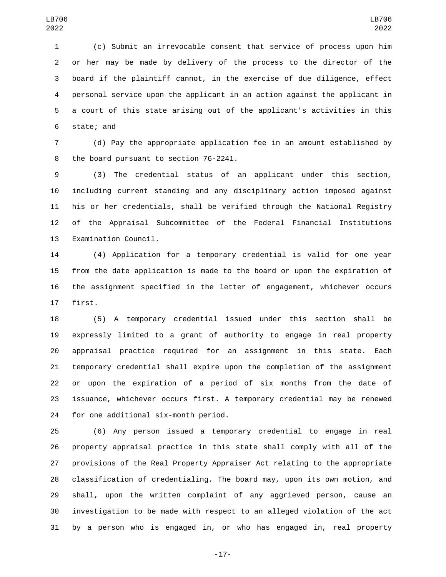(c) Submit an irrevocable consent that service of process upon him or her may be made by delivery of the process to the director of the board if the plaintiff cannot, in the exercise of due diligence, effect personal service upon the applicant in an action against the applicant in a court of this state arising out of the applicant's activities in this 6 state; and

 (d) Pay the appropriate application fee in an amount established by 8 the board pursuant to section 76-2241.

 (3) The credential status of an applicant under this section, including current standing and any disciplinary action imposed against his or her credentials, shall be verified through the National Registry of the Appraisal Subcommittee of the Federal Financial Institutions 13 Examination Council.

 (4) Application for a temporary credential is valid for one year from the date application is made to the board or upon the expiration of the assignment specified in the letter of engagement, whichever occurs 17 first.

 (5) A temporary credential issued under this section shall be expressly limited to a grant of authority to engage in real property appraisal practice required for an assignment in this state. Each temporary credential shall expire upon the completion of the assignment or upon the expiration of a period of six months from the date of issuance, whichever occurs first. A temporary credential may be renewed for one additional six-month period.

 (6) Any person issued a temporary credential to engage in real property appraisal practice in this state shall comply with all of the provisions of the Real Property Appraiser Act relating to the appropriate classification of credentialing. The board may, upon its own motion, and shall, upon the written complaint of any aggrieved person, cause an investigation to be made with respect to an alleged violation of the act by a person who is engaged in, or who has engaged in, real property

-17-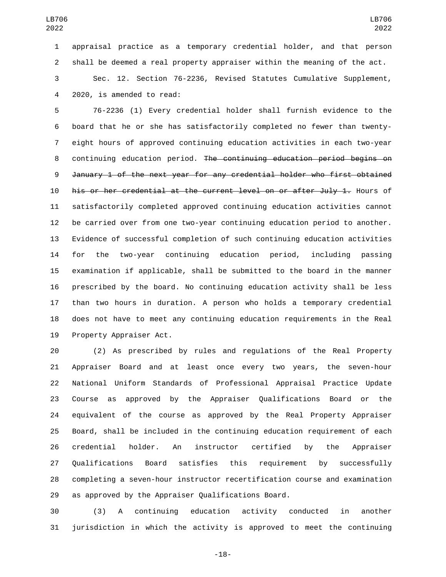appraisal practice as a temporary credential holder, and that person shall be deemed a real property appraiser within the meaning of the act.

 Sec. 12. Section 76-2236, Revised Statutes Cumulative Supplement, 2020, is amended to read:4

 76-2236 (1) Every credential holder shall furnish evidence to the board that he or she has satisfactorily completed no fewer than twenty- eight hours of approved continuing education activities in each two-year continuing education period. The continuing education period begins on January 1 of the next year for any credential holder who first obtained his or her credential at the current level on or after July 1. Hours of satisfactorily completed approved continuing education activities cannot be carried over from one two-year continuing education period to another. Evidence of successful completion of such continuing education activities for the two-year continuing education period, including passing examination if applicable, shall be submitted to the board in the manner prescribed by the board. No continuing education activity shall be less than two hours in duration. A person who holds a temporary credential does not have to meet any continuing education requirements in the Real 19 Property Appraiser Act.

 (2) As prescribed by rules and regulations of the Real Property Appraiser Board and at least once every two years, the seven-hour National Uniform Standards of Professional Appraisal Practice Update Course as approved by the Appraiser Qualifications Board or the equivalent of the course as approved by the Real Property Appraiser Board, shall be included in the continuing education requirement of each credential holder. An instructor certified by the Appraiser Qualifications Board satisfies this requirement by successfully completing a seven-hour instructor recertification course and examination as approved by the Appraiser Qualifications Board.

 (3) A continuing education activity conducted in another jurisdiction in which the activity is approved to meet the continuing

-18-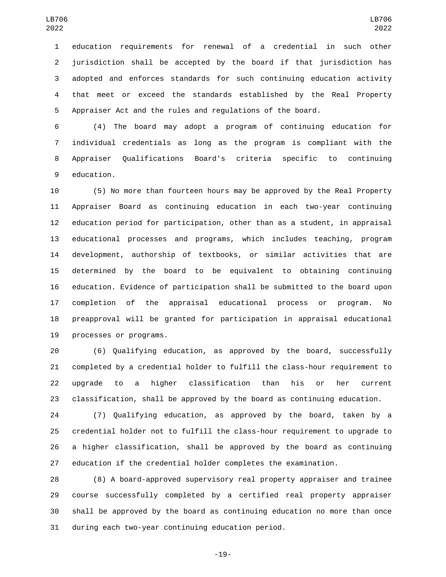education requirements for renewal of a credential in such other jurisdiction shall be accepted by the board if that jurisdiction has adopted and enforces standards for such continuing education activity that meet or exceed the standards established by the Real Property Appraiser Act and the rules and regulations of the board.

 (4) The board may adopt a program of continuing education for individual credentials as long as the program is compliant with the Appraiser Qualifications Board's criteria specific to continuing 9 education.

 (5) No more than fourteen hours may be approved by the Real Property Appraiser Board as continuing education in each two-year continuing education period for participation, other than as a student, in appraisal educational processes and programs, which includes teaching, program development, authorship of textbooks, or similar activities that are determined by the board to be equivalent to obtaining continuing education. Evidence of participation shall be submitted to the board upon completion of the appraisal educational process or program. No preapproval will be granted for participation in appraisal educational 19 processes or programs.

 (6) Qualifying education, as approved by the board, successfully completed by a credential holder to fulfill the class-hour requirement to upgrade to a higher classification than his or her current classification, shall be approved by the board as continuing education.

 (7) Qualifying education, as approved by the board, taken by a credential holder not to fulfill the class-hour requirement to upgrade to a higher classification, shall be approved by the board as continuing education if the credential holder completes the examination.

 (8) A board-approved supervisory real property appraiser and trainee course successfully completed by a certified real property appraiser shall be approved by the board as continuing education no more than once 31 during each two-year continuing education period.

-19-